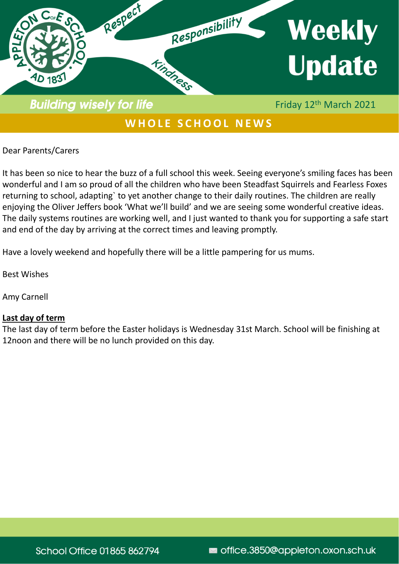

# WHOLE SCHOOL NEWS

Dear Parents/Carers

It has been so nice to hear the buzz of a full school this week. Seeing everyone's smiling faces has been wonderful and I am so proud of all the children who have been Steadfast Squirrels and Fearless Foxes returning to school, adapting` to yet another change to their daily routines. The children are really enjoying the Oliver Jeffers book 'What we'll build' and we are seeing some wonderful creative ideas. The daily systems routines are working well, and I just wanted to thank you for supporting a safe start and end of the day by arriving at the correct times and leaving promptly.

Have a lovely weekend and hopefully there will be a little pampering for us mums.

Best Wishes

Amy Carnell

#### **Last day of term**

The last day of term before the Easter holidays is Wednesday 31st March. School will be finishing at 12noon and there will be no lunch provided on this day.

**School Office 01865 862794** 

office.3850@appleton.oxon.sch.uk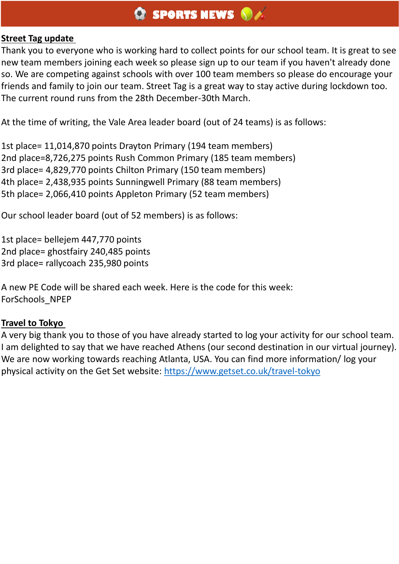### **Street Tag update**

Thank you to everyone who is working hard to collect points for our school team. It is great to see new team members joining each week so please sign up to our team if you haven't already done so. We are competing against schools with over 100 team members so please do encourage your friends and family to join our team. Street Tag is a great way to stay active during lockdown too. The current round runs from the 28th December-30th March.

At the time of writing, the Vale Area leader board (out of 24 teams) is as follows:

1st place= 11,014,870 points Drayton Primary (194 team members) 2nd place=8,726,275 points Rush Common Primary (185 team members) 3rd place= 4,829,770 points Chilton Primary (150 team members) 4th place= 2,438,935 points Sunningwell Primary (88 team members) 5th place= 2,066,410 points Appleton Primary (52 team members)

Our school leader board (out of 52 members) is as follows:

1st place= bellejem 447,770 points 2nd place= ghostfairy 240,485 points 3rd place= rallycoach 235,980 points

A new PE Code will be shared each week. Here is the code for this week: ForSchools\_NPEP

### **Travel to Tokyo**

A very big thank you to those of you have already started to log your activity for our school team. I am delighted to say that we have reached Athens (our second destination in our virtual journey). We are now working towards reaching Atlanta, USA. You can find more information/ log your physical activity on the Get Set website: <https://www.getset.co.uk/travel-tokyo>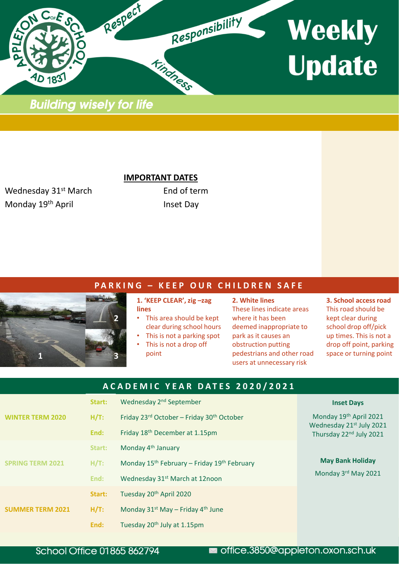

**Building wisely for life** 

**IMPORTANT DATES**

Wednesday 31<sup>st</sup> March End of term Monday 19<sup>th</sup> April **Inset Day** 

#### **P A R K I N G – K E E P O U R C H I L D R E N S A F E**



**1. 'KEEP CLEAR', zig –zag lines**

- This area should be kept clear during school hours
- This is not a parking spot
- This is not a drop off point

**2. White lines** These lines indicate areas where it has been deemed inappropriate to park as it causes an obstruction putting pedestrians and other road users at unnecessary risk

**3. School access road** This road should be kept clear during school drop off/pick up times. This is not a drop off point, parking space or turning point

| ACADEMIC YEAR DATES 2020/2021 |         |                                                                     |                                                                                           |
|-------------------------------|---------|---------------------------------------------------------------------|-------------------------------------------------------------------------------------------|
|                               | Start:  | Wednesday 2 <sup>nd</sup> September                                 | <b>Inset Days</b>                                                                         |
| <b>WINTER TERM 2020</b>       | $H/T$ : | Friday 23rd October - Friday 30 <sup>th</sup> October               | Monday 19th April 2021<br>Wednesday 21st July 2021<br>Thursday 22 <sup>nd</sup> July 2021 |
|                               | End:    | Friday 18 <sup>th</sup> December at 1.15pm                          |                                                                                           |
| <b>SPRING TERM 2021</b>       | Start:  | Monday 4 <sup>th</sup> January                                      |                                                                                           |
|                               | H/T:    | Monday 15 <sup>th</sup> February - Friday 19 <sup>th</sup> February | <b>May Bank Holiday</b><br>Monday 3rd May 2021                                            |
|                               | End:    | Wednesday 31 <sup>st</sup> March at 12noon                          |                                                                                           |
| <b>SUMMER TERM 2021</b>       | Start:  | Tuesday 20 <sup>th</sup> April 2020                                 |                                                                                           |
|                               | $H/T$ : | Monday $31^{st}$ May – Friday 4 <sup>th</sup> June                  |                                                                                           |
|                               | End:    | Tuesday 20 <sup>th</sup> July at 1.15pm                             |                                                                                           |

#### **School Office 01865 862794**